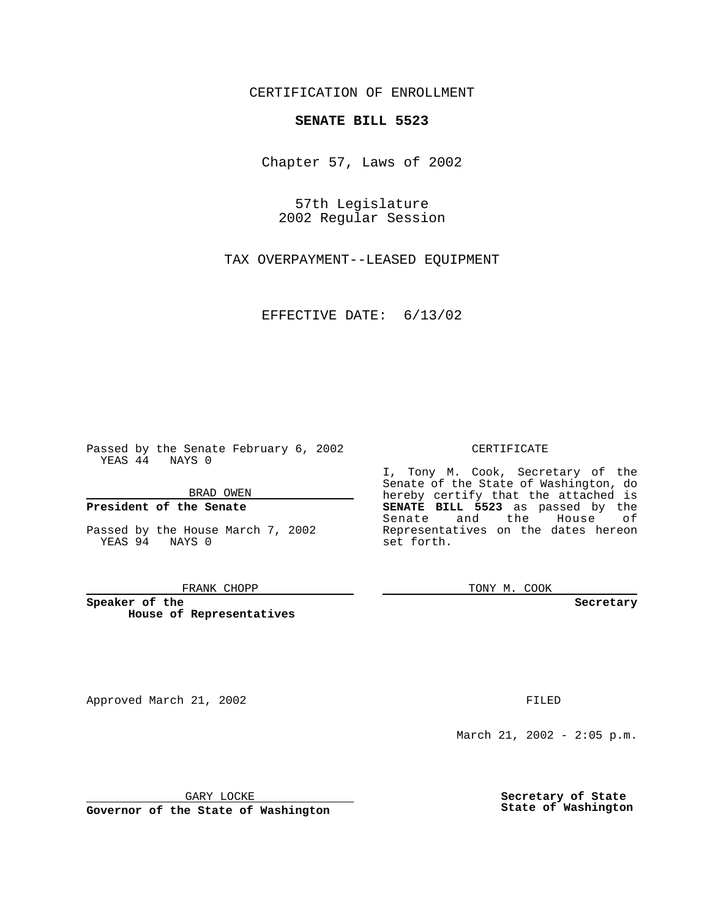CERTIFICATION OF ENROLLMENT

## **SENATE BILL 5523**

Chapter 57, Laws of 2002

57th Legislature 2002 Regular Session

TAX OVERPAYMENT--LEASED EQUIPMENT

EFFECTIVE DATE: 6/13/02

Passed by the Senate February 6, 2002 YEAS 44 NAYS 0

BRAD OWEN

### **President of the Senate**

Passed by the House March 7, 2002 YEAS 94 NAYS 0

#### FRANK CHOPP

**Speaker of the House of Representatives**

Approved March 21, 2002 **FILED** 

### CERTIFICATE

I, Tony M. Cook, Secretary of the Senate of the State of Washington, do hereby certify that the attached is **SENATE BILL 5523** as passed by the Senate and the House of Representatives on the dates hereon set forth.

TONY M. COOK

**Secretary**

March 21, 2002 - 2:05 p.m.

GARY LOCKE

**Governor of the State of Washington**

**Secretary of State State of Washington**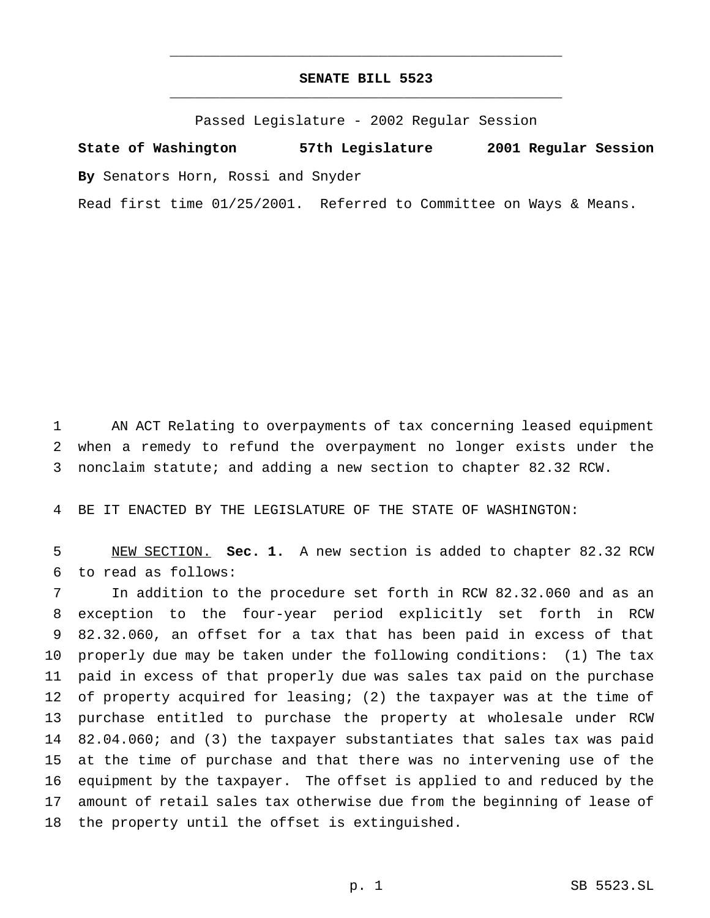# **SENATE BILL 5523** \_\_\_\_\_\_\_\_\_\_\_\_\_\_\_\_\_\_\_\_\_\_\_\_\_\_\_\_\_\_\_\_\_\_\_\_\_\_\_\_\_\_\_\_\_\_\_

\_\_\_\_\_\_\_\_\_\_\_\_\_\_\_\_\_\_\_\_\_\_\_\_\_\_\_\_\_\_\_\_\_\_\_\_\_\_\_\_\_\_\_\_\_\_\_

Passed Legislature - 2002 Regular Session

**State of Washington 57th Legislature 2001 Regular Session By** Senators Horn, Rossi and Snyder

Read first time 01/25/2001. Referred to Committee on Ways & Means.

 AN ACT Relating to overpayments of tax concerning leased equipment when a remedy to refund the overpayment no longer exists under the nonclaim statute; and adding a new section to chapter 82.32 RCW.

BE IT ENACTED BY THE LEGISLATURE OF THE STATE OF WASHINGTON:

 NEW SECTION. **Sec. 1.** A new section is added to chapter 82.32 RCW to read as follows:

 In addition to the procedure set forth in RCW 82.32.060 and as an exception to the four-year period explicitly set forth in RCW 82.32.060, an offset for a tax that has been paid in excess of that properly due may be taken under the following conditions: (1) The tax paid in excess of that properly due was sales tax paid on the purchase of property acquired for leasing; (2) the taxpayer was at the time of purchase entitled to purchase the property at wholesale under RCW 82.04.060; and (3) the taxpayer substantiates that sales tax was paid at the time of purchase and that there was no intervening use of the equipment by the taxpayer. The offset is applied to and reduced by the amount of retail sales tax otherwise due from the beginning of lease of the property until the offset is extinguished.